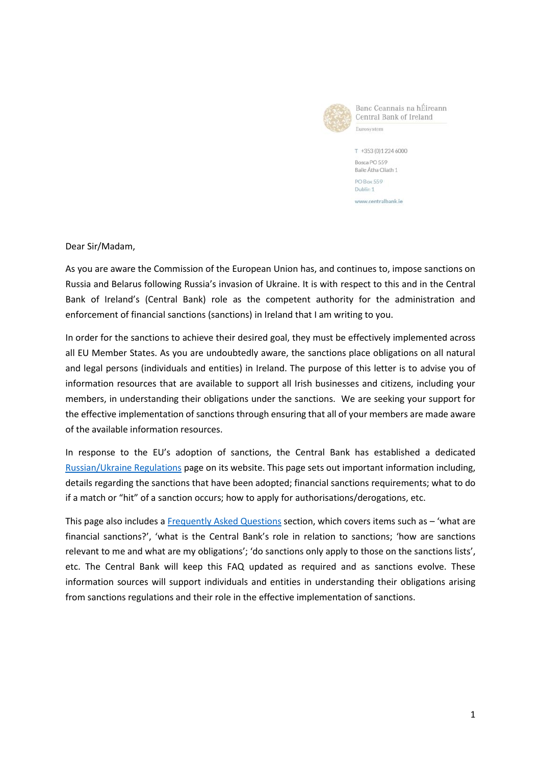

Banc Ceannais na hÉireann Central Bank of Ireland Eurosystem

T +353 (0) 1 224 6000 Bosca PO 559 Baile Átha Cliath 1 PO Box 559 Dublin 1 www.centralbank.ie

Dear Sir/Madam,

As you are aware the Commission of the European Union has, and continues to, impose sanctions on Russia and Belarus following Russia's invasion of Ukraine. It is with respect to this and in the Central Bank of Ireland's (Central Bank) role as the competent authority for the administration and enforcement of financial sanctions (sanctions) in Ireland that I am writing to you.

In order for the sanctions to achieve their desired goal, they must be effectively implemented across all EU Member States. As you are undoubtedly aware, the sanctions place obligations on all natural and legal persons (individuals and entities) in Ireland. The purpose of this letter is to advise you of information resources that are available to support all Irish businesses and citizens, including your members, in understanding their obligations under the sanctions. We are seeking your support for the effective implementation of sanctions through ensuring that all of your members are made aware of the available information resources.

In response to the EU's adoption of sanctions, the Central Bank has established a dedicated [Russian/Ukraine Regulations](https://www.centralbank.ie/regulation/how-we-regulate/international-financial-sanctions/changes-to-the-russia-ukraine-regulations) page on its website. This page sets out important information including, details regarding the sanctions that have been adopted; financial sanctions requirements; what to do if a match or "hit" of a sanction occurs; how to apply for authorisations/derogations, etc.

This page also includes a [Frequently Asked Questions](https://www.centralbank.ie/regulation/how-we-regulate/international-financial-sanctions/financial-sanctions---faq) section, which covers items such as – 'what are financial sanctions?', 'what is the Central Bank's role in relation to sanctions; 'how are sanctions relevant to me and what are my obligations'; 'do sanctions only apply to those on the sanctions lists', etc. The Central Bank will keep this FAQ updated as required and as sanctions evolve. These information sources will support individuals and entities in understanding their obligations arising from sanctions regulations and their role in the effective implementation of sanctions.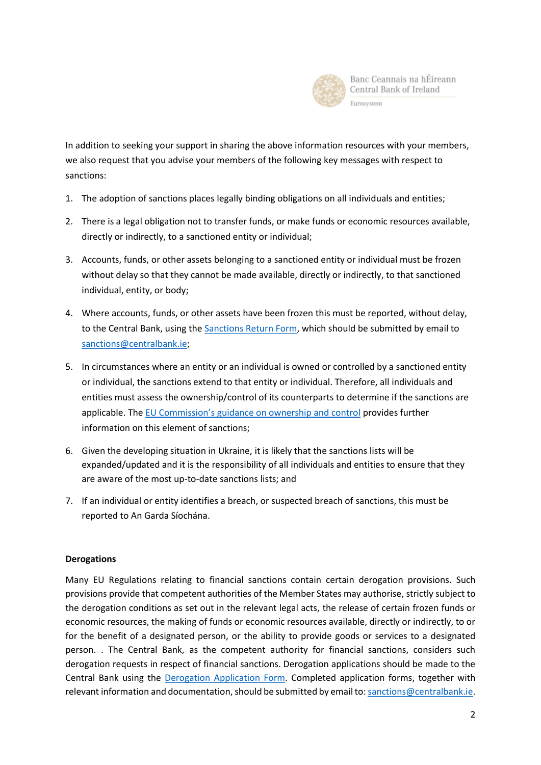

In addition to seeking your support in sharing the above information resources with your members, we also request that you advise your members of the following key messages with respect to sanctions:

- 1. The adoption of sanctions places legally binding obligations on all individuals and entities;
- 2. There is a legal obligation not to transfer funds, or make funds or economic resources available, directly or indirectly, to a sanctioned entity or individual;
- 3. Accounts, funds, or other assets belonging to a sanctioned entity or individual must be frozen without delay so that they cannot be made available, directly or indirectly, to that sanctioned individual, entity, or body;
- 4. Where accounts, funds, or other assets have been frozen this must be reported, without delay, to the Central Bank, using the [Sanctions Return Form,](https://www.centralbank.ie/docs/default-source/regulation/how-we-regulate/international-financial-sanctions/sanctions-return-form.xlsx?sfvrsn=6) which should be submitted by email to [sanctions@centralbank.ie;](mailto:sanctions@centralbank.ie)
- 5. In circumstances where an entity or an individual is owned or controlled by a sanctioned entity or individual, the sanctions extend to that entity or individual. Therefore, all individuals and entities must assess the ownership/control of its counterparts to determine if the sanctions are applicable. The [EU Commission's guidance on ownership and control](https://ec.europa.eu/info/sites/default/files/business_economy_euro/banking_and_finance/documents/201217-human-rights-guidance-note_en.pdf) provides further information on this element of sanctions;
- 6. Given the developing situation in Ukraine, it is likely that the sanctions lists will be expanded/updated and it is the responsibility of all individuals and entities to ensure that they are aware of the most up-to-date sanctions lists; and
- 7. If an individual or entity identifies a breach, or suspected breach of sanctions, this must be reported to An Garda Síochána.

## **Derogations**

Many EU Regulations relating to financial sanctions contain certain derogation provisions. Such provisions provide that competent authorities of the Member States may authorise, strictly subject to the derogation conditions as set out in the relevant legal acts, the release of certain frozen funds or economic resources, the making of funds or economic resources available, directly or indirectly, to or for the benefit of a designated person, or the ability to provide goods or services to a designated person. . The Central Bank, as the competent authority for financial sanctions, considers such derogation requests in respect of financial sanctions. Derogation applications should be made to the Central Bank using the [Derogation Application Form.](https://www.centralbank.ie/docs/default-source/regulation/how-we-regulate/international-financial-sanctions/sanctions-derogation-application-form.docx?sfvrsn=2) Completed application forms, together with relevant information and documentation, should be submitted by email to: [sanctions@centralbank.ie.](mailto:sanctions@centralbank.ie)